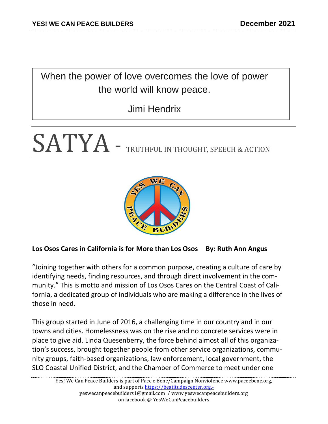When the power of love overcomes the love of power the world will know peace.

Jimi Hendrix

# SATYA - TRUTHFUL IN THOUGHT, SPEECH & ACTION



## **Los Osos Cares in California is for More than Los Osos By: Ruth Ann Angus**

"Joining together with others for a common purpose, creating a culture of care by identifying needs, finding resources, and through direct involvement in the community." This is motto and mission of Los Osos Cares on the Central Coast of California, a dedicated group of individuals who are making a difference in the lives of those in need.

This group started in June of 2016, a challenging time in our country and in our towns and cities. Homelessness was on the rise and no concrete services were in place to give aid. Linda Quesenberry, the force behind almost all of this organization's success, brought together people from other service organizations, community groups, faith-based organizations, law enforcement, local government, the SLO Coastal Unified District, and the Chamber of Commerce to meet under one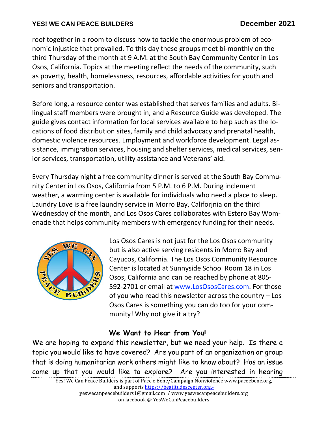#### **YES! WE CAN PEACE BUILDERS December 2021**

roof together in a room to discuss how to tackle the enormous problem of economic injustice that prevailed. To this day these groups meet bi-monthly on the third Thursday of the month at 9 A.M. at the South Bay Community Center in Los Osos, California. Topics at the meeting reflect the needs of the community, such as poverty, health, homelessness, resources, affordable activities for youth and seniors and transportation.

Before long, a resource center was established that serves families and adults. Bilingual staff members were brought in, and a Resource Guide was developed. The guide gives contact information for local services available to help such as the locations of food distribution sites, family and child advocacy and prenatal health, domestic violence resources. Employment and workforce development. Legal assistance, immigration services, housing and shelter services, medical services, senior services, transportation, utility assistance and Veterans' aid.

Every Thursday night a free community dinner is served at the South Bay Community Center in Los Osos, California from 5 P.M. to 6 P.M. During inclement weather, a warming center is available for individuals who need a place to sleep. Laundry Love is a free laundry service in Morro Bay, Califorjnia on the third Wednesday of the month, and Los Osos Cares collaborates with Estero Bay Womenade that helps community members with emergency funding for their needs.



Los Osos Cares is not just for the Los Osos community but is also active serving residents in Morro Bay and Cayucos, California. The Los Osos Community Resource Center is located at Sunnyside School Room 18 in Los Osos, California and can be reached by phone at 805 592-2701 or email at [www.LosOsosCares.com.](http://www.losososcares.com/) For those of you who read this newsletter across the country – Los Osos Cares is something you can do too for your community! Why not give it a try?

## **We Want to Hear from You!**

We are hoping to expand this newsletter, but we need your help. Is there a topic you would like to have covered? Are you part of an organization or group that is doing humanitarian work others might like to know about? Has an issue come up that you would like to explore? Are you interested in hearing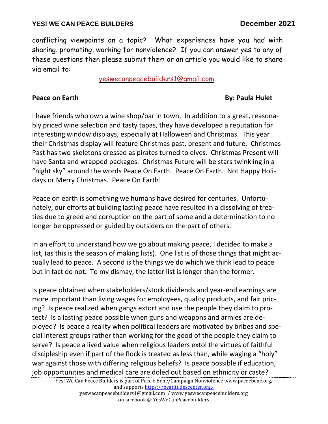conflicting viewpoints on a topic? What experiences have you had with sharing. promoting, working for nonviolence? If you can answer yes to any of these questions then please submit them or an article you would like to share via email to:

yeswecanpeacebuilders1@gmail.com.

## **Peace on Earth By: Paula Hulet**

I have friends who own a wine shop/bar in town, In addition to a great, reasonably priced wine selection and tasty tapas, they have developed a reputation for interesting window displays, especially at Halloween and Christmas. This year their Christmas display will feature Christmas past, present and future. Christmas Past has two skeletons dressed as pirates turned to elves. Christmas Present will have Santa and wrapped packages. Christmas Future will be stars twinkling in a "night sky" around the words Peace On Earth. Peace On Earth. Not Happy Holidays or Merry Christmas. Peace On Earth!

Peace on earth is something we humans have desired for centuries. Unfortunately, our efforts at building lasting peace have resulted in a dissolving of treaties due to greed and corruption on the part of some and a determination to no longer be oppressed or guided by outsiders on the part of others.

In an effort to understand how we go about making peace, I decided to make a list, (as this is the season of making lists). One list is of those things that might actually lead to peace. A second is the things we do which we think lead to peace but in fact do not. To my dismay, the latter list is longer than the former.

Is peace obtained when stakeholders/stock dividends and year-end earnings are more important than living wages for employees, quality products, and fair pricing? Is peace realized when gangs extort and use the people they claim to protect? Is a lasting peace possible when guns and weapons and armies are deployed? Is peace a reality when political leaders are motivated by bribes and special interest groups rather than working for the good of the people they claim to serve? Is peace a lived value when religious leaders extol the virtues of faithful discipleship even if part of the flock is treated as less than, while waging a "holy" war against those with differing religious beliefs? Is peace possible if education, job opportunities and medical care are doled out based on ethnicity or caste?

on facebook @ YesWeCanPeacebuilders